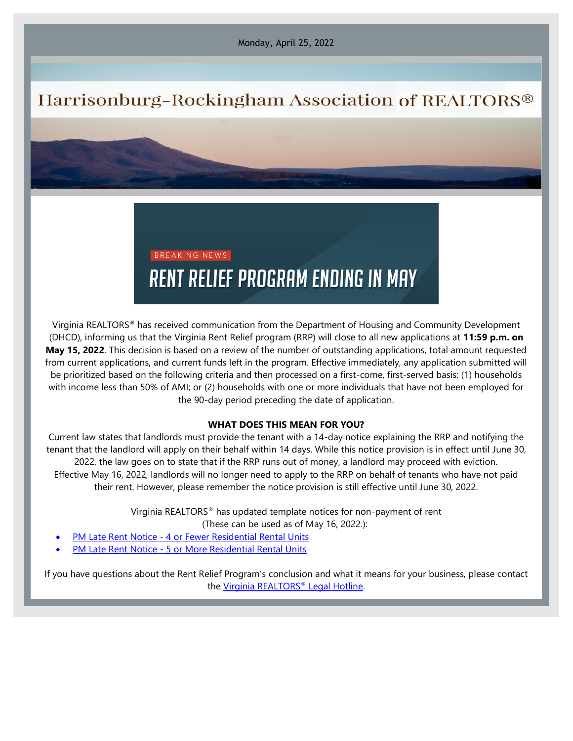Monday, April 25, 2022

# Harrisonburg-Rockingham Association of REALTORS®

# BREAKING NEWS **RENT RELIEF PROGRAM ENDING IN MAY**

Virginia REALTORS® has received communication from the Department of Housing and Community Development (DHCD), informing us that the Virginia Rent Relief program (RRP) will close to all new applications at **11:59 p.m. on May 15, 2022**. This decision is based on a review of the number of outstanding applications, total amount requested from current applications, and current funds left in the program. Effective immediately, any application submitted will be prioritized based on the following criteria and then processed on a first-come, first-served basis: (1) households with income less than 50% of AMI; or (2) households with one or more individuals that have not been employed for the 90-day period preceding the date of application.

## **WHAT DOES THIS MEAN FOR YOU?**

Current law states that landlords must provide the tenant with a 14-day notice explaining the RRP and notifying the tenant that the landlord will apply on their behalf within 14 days. While this notice provision is in effect until June 30, 2022, the law goes on to state that if the RRP runs out of money, a landlord may proceed with eviction. Effective May 16, 2022, landlords will no longer need to apply to the RRP on behalf of tenants who have not paid their rent. However, please remember the notice provision is still effective until June 30, 2022.

Virginia REALTORS® has updated template notices for non-payment of rent

(These can be used as of May 16, 2022.):

- PM Late Rent Notice [4 or Fewer Residential Rental Units](https://elink.clickdimensions.com/c/7/eyJhaSI6Mzk4NDYwNjUsImUiOiJzdGFmZkBocmFyLmNvbSIsInJpIjoiY29udGFjdC0xZWRmODMwNGZlNzc0NWZjODU0NTFmMDhjNzc0OWE4YS1mZjQ2ZGViYjc0ZjI0Yzc5OGU3NGU4MWRkMTQ2NTNhOCIsInJxIjoiMDItYjIyMTExLTI0ZjQ4Y2NhOTVhOTQ2M2ZhM2EwOGQyYjhhYTA5NDc4IiwicGgiOm51bGwsIm0iOmZhbHNlLCJ1aSI6IjIiLCJ1biI6IiIsInUiOiJodHRwczovL3ZpcmdpbmlhcmVhbHRvcnMub3JnL2Rvd25sb2FkLzMxNTQwMjQvP19jbGRlZT1YVDg2LUVlQWN2bWxGT0piVEM5WEx2Y3hlY2cyQTRyU1FqeUVhLXptSlliNHBkdy14MzZaM1FVZGI3Q2lJZ1hjJnJlY2lwaWVudGlkPWNvbnRhY3QtMWVkZjgzMDRmZTc3NDVmYzg1NDUxZjA4Yzc3NDlhOGEtZmY0NmRlYmI3NGYyNGM3OThlNzRlODFkZDE0NjUzYTgmZXNpZD1mYjk4Mzc2Zi05YWMxLWVjMTEtOWM3Zi0wMDE1NWQxMDEyYTYifQ/lCfAVWb_jeKHbl9FQyNPXQ)
- PM Late Rent Notice [5 or More Residential Rental Units](https://elink.clickdimensions.com/c/7/eyJhaSI6Mzk4NDYwNjUsImUiOiJzdGFmZkBocmFyLmNvbSIsInJpIjoiY29udGFjdC0xZWRmODMwNGZlNzc0NWZjODU0NTFmMDhjNzc0OWE4YS1mZjQ2ZGViYjc0ZjI0Yzc5OGU3NGU4MWRkMTQ2NTNhOCIsInJxIjoiMDItYjIyMTExLTI0ZjQ4Y2NhOTVhOTQ2M2ZhM2EwOGQyYjhhYTA5NDc4IiwicGgiOm51bGwsIm0iOmZhbHNlLCJ1aSI6IjMiLCJ1biI6IiIsInUiOiJodHRwczovL3ZpcmdpbmlhcmVhbHRvcnMub3JnL2Rvd25sb2FkLzMxNTQwMjcvP19jbGRlZT1YVDg2LUVlQWN2bWxGT0piVEM5WEx2Y3hlY2cyQTRyU1FqeUVhLXptSlliNHBkdy14MzZaM1FVZGI3Q2lJZ1hjJnJlY2lwaWVudGlkPWNvbnRhY3QtMWVkZjgzMDRmZTc3NDVmYzg1NDUxZjA4Yzc3NDlhOGEtZmY0NmRlYmI3NGYyNGM3OThlNzRlODFkZDE0NjUzYTgmZXNpZD1mYjk4Mzc2Zi05YWMxLWVjMTEtOWM3Zi0wMDE1NWQxMDEyYTYifQ/HL_hXVKamdMMSOHcaNT9Xw)

If you have questions about the Rent Relief Program's conclusion and what it means for your business, please contact the [Virginia REALTORS](https://elink.clickdimensions.com/c/7/eyJhaSI6Mzk4NDYwNjUsImUiOiJzdGFmZkBocmFyLmNvbSIsInJpIjoiY29udGFjdC0xZWRmODMwNGZlNzc0NWZjODU0NTFmMDhjNzc0OWE4YS1mZjQ2ZGViYjc0ZjI0Yzc5OGU3NGU4MWRkMTQ2NTNhOCIsInJxIjoiMDItYjIyMTExLTI0ZjQ4Y2NhOTVhOTQ2M2ZhM2EwOGQyYjhhYTA5NDc4IiwicGgiOm51bGwsIm0iOmZhbHNlLCJ1aSI6IjQiLCJ1biI6IiIsInUiOiJodHRwczovL3ZpcmdpbmlhcmVhbHRvcnMub3JnL2xhdy1ldGhpY3MvbGVnYWwtaG90bGluZS8_X2NsZGVlPVhUODYtRWVBY3ZtbEZPSmJUQzlYTHZjeGVjZzJBNHJTUWp5RWEtem1KWWI0cGR3LXgzNlozUVVkYjdDaUlnWGMmcmVjaXBpZW50aWQ9Y29udGFjdC0xZWRmODMwNGZlNzc0NWZjODU0NTFmMDhjNzc0OWE4YS1mZjQ2ZGViYjc0ZjI0Yzc5OGU3NGU4MWRkMTQ2NTNhOCZlc2lkPWZiOTgzNzZmLTlhYzEtZWMxMS05YzdmLTAwMTU1ZDEwMTJhNiJ9/0PAIJnfLfyG9N0cbMzwDeg)[®](https://elink.clickdimensions.com/c/7/eyJhaSI6Mzk4NDYwNjUsImUiOiJzdGFmZkBocmFyLmNvbSIsInJpIjoiY29udGFjdC0xZWRmODMwNGZlNzc0NWZjODU0NTFmMDhjNzc0OWE4YS1mZjQ2ZGViYjc0ZjI0Yzc5OGU3NGU4MWRkMTQ2NTNhOCIsInJxIjoiMDItYjIyMTExLTI0ZjQ4Y2NhOTVhOTQ2M2ZhM2EwOGQyYjhhYTA5NDc4IiwicGgiOm51bGwsIm0iOmZhbHNlLCJ1aSI6IjQiLCJ1biI6IiIsInUiOiJodHRwczovL3ZpcmdpbmlhcmVhbHRvcnMub3JnL2xhdy1ldGhpY3MvbGVnYWwtaG90bGluZS8_X2NsZGVlPVhUODYtRWVBY3ZtbEZPSmJUQzlYTHZjeGVjZzJBNHJTUWp5RWEtem1KWWI0cGR3LXgzNlozUVVkYjdDaUlnWGMmcmVjaXBpZW50aWQ9Y29udGFjdC0xZWRmODMwNGZlNzc0NWZjODU0NTFmMDhjNzc0OWE4YS1mZjQ2ZGViYjc0ZjI0Yzc5OGU3NGU4MWRkMTQ2NTNhOCZlc2lkPWZiOTgzNzZmLTlhYzEtZWMxMS05YzdmLTAwMTU1ZDEwMTJhNiJ9/0PAIJnfLfyG9N0cbMzwDeg) [Legal Hotline.](https://elink.clickdimensions.com/c/7/eyJhaSI6Mzk4NDYwNjUsImUiOiJzdGFmZkBocmFyLmNvbSIsInJpIjoiY29udGFjdC0xZWRmODMwNGZlNzc0NWZjODU0NTFmMDhjNzc0OWE4YS1mZjQ2ZGViYjc0ZjI0Yzc5OGU3NGU4MWRkMTQ2NTNhOCIsInJxIjoiMDItYjIyMTExLTI0ZjQ4Y2NhOTVhOTQ2M2ZhM2EwOGQyYjhhYTA5NDc4IiwicGgiOm51bGwsIm0iOmZhbHNlLCJ1aSI6IjQiLCJ1biI6IiIsInUiOiJodHRwczovL3ZpcmdpbmlhcmVhbHRvcnMub3JnL2xhdy1ldGhpY3MvbGVnYWwtaG90bGluZS8_X2NsZGVlPVhUODYtRWVBY3ZtbEZPSmJUQzlYTHZjeGVjZzJBNHJTUWp5RWEtem1KWWI0cGR3LXgzNlozUVVkYjdDaUlnWGMmcmVjaXBpZW50aWQ9Y29udGFjdC0xZWRmODMwNGZlNzc0NWZjODU0NTFmMDhjNzc0OWE4YS1mZjQ2ZGViYjc0ZjI0Yzc5OGU3NGU4MWRkMTQ2NTNhOCZlc2lkPWZiOTgzNzZmLTlhYzEtZWMxMS05YzdmLTAwMTU1ZDEwMTJhNiJ9/0PAIJnfLfyG9N0cbMzwDeg)